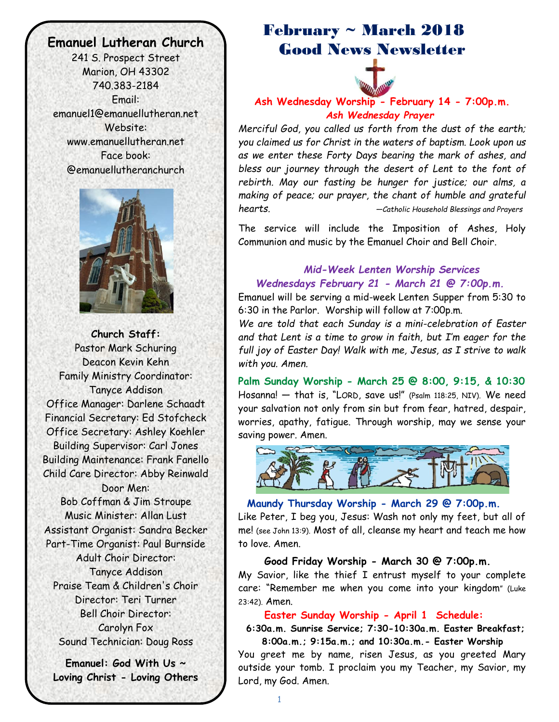# **Emanuel Lutheran Church**

Č

241 S. Prospect Street Marion, OH 43302 740.383-2184 Email: emanuel1@emanuellutheran.net Website: www.emanuellutheran.net Face book: @emanuellutheranchurch



**Church Staff:** Pastor Mark Schuring Deacon Kevin Kehn Family Ministry Coordinator: Tanyce Addison Office Manager: Darlene Schaadt Financial Secretary: Ed Stofcheck Office Secretary: Ashley Koehler Building Supervisor: Carl Jones Building Maintenance: Frank Fanello Child Care Director: Abby Reinwald Door Men: Bob Coffman & Jim Stroupe Music Minister: Allan Lust Assistant Organist: Sandra Becker Part-Time Organist: Paul Burnside Adult Choir Director: Tanyce Addison Praise Team & Children's Choir Director: Teri Turner Bell Choir Director: Carolyn Fox Sound Technician: Doug Ross

**Emanuel: God With Us ~ Loving Christ - Loving Others**

# February ~ March 2018 Good News Newsletter



**Ash Wednesday Worship - February 14 - 7:00p.m.**  *Ash Wednesday Prayer*

*Merciful God, you called us forth from the dust of the earth; you claimed us for Christ in the waters of baptism. Look upon us as we enter these Forty Days bearing the mark of ashes, and bless our journey through the desert of Lent to the font of rebirth. May our fasting be hunger for justice; our alms, a making of peace; our prayer, the chant of humble and grateful hearts. —Catholic Household Blessings and Prayers*

The service will include the Imposition of Ashes, Holy Communion and music by the Emanuel Choir and Bell Choir.

# *Mid-Week Lenten Worship Services Wednesdays February 21 - March 21 @ 7:00p.m.*

Emanuel will be serving a mid-week Lenten Supper from 5:30 to 6:30 in the Parlor. Worship will follow at 7:00p.m.

*We are told that each Sunday is a mini-celebration of Easter and that Lent is a time to grow in faith, but I'm eager for the full joy of Easter Day! Walk with me, Jesus, as I strive to walk with you. Amen.*

**Palm Sunday Worship - March 25 @ 8:00, 9:15, & 10:30** Hosanna! — that is, "LORD, save us!" (Psalm 118:25, NIV). We need your salvation not only from sin but from fear, hatred, despair, worries, apathy, fatigue. Through worship, may we sense your saving power. Amen.



 **Maundy Thursday Worship - March 29 @ 7:00p.m.** Like Peter, I beg you, Jesus: Wash not only my feet, but all of me! (see John 13:9). Most of all, cleanse my heart and teach me how to love. Amen.

 **Good Friday Worship - March 30 @ 7:00p.m.** My Savior, like the thief I entrust myself to your complete care: "Remember me when you come into your kingdom" (Luke 23:42). Amen.

#### **Easter Sunday Worship - April 1 Schedule:**

 **6:30a.m. Sunrise Service; 7:30-10:30a.m. Easter Breakfast; 8:00a.m.; 9:15a.m.; and 10:30a.m.- Easter Worship**

You greet me by name, risen Jesus, as you greeted Mary outside your tomb. I proclaim you my Teacher, my Savior, my Lord, my God. Amen.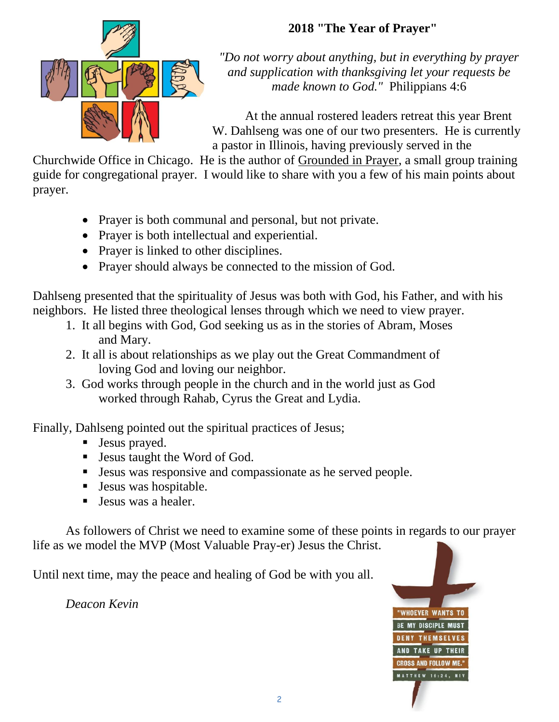# **2018 "The Year of Prayer"**



*"Do not worry about anything, but in everything by prayer and supplication with thanksgiving let your requests be made known to God."* Philippians 4:6

At the annual rostered leaders retreat this year Brent W. Dahlseng was one of our two presenters. He is currently a pastor in Illinois, having previously served in the

Churchwide Office in Chicago. He is the author of Grounded in Prayer, a small group training guide for congregational prayer. I would like to share with you a few of his main points about prayer.

- Prayer is both communal and personal, but not private.
- Prayer is both intellectual and experiential.
- Prayer is linked to other disciplines.
- Prayer should always be connected to the mission of God.

Dahlseng presented that the spirituality of Jesus was both with God, his Father, and with his neighbors. He listed three theological lenses through which we need to view prayer.

- 1. It all begins with God, God seeking us as in the stories of Abram, Moses and Mary.
- 2. It all is about relationships as we play out the Great Commandment of loving God and loving our neighbor.
- 3. God works through people in the church and in the world just as God worked through Rahab, Cyrus the Great and Lydia.

Finally, Dahlseng pointed out the spiritual practices of Jesus;

- **Jesus prayed.**
- Jesus taught the Word of God.
- Jesus was responsive and compassionate as he served people.
- Jesus was hospitable.
- Jesus was a healer.

As followers of Christ we need to examine some of these points in regards to our prayer life as we model the MVP (Most Valuable Pray-er) Jesus the Christ.

Until next time, may the peace and healing of God be with you all.

*Deacon Kevin*

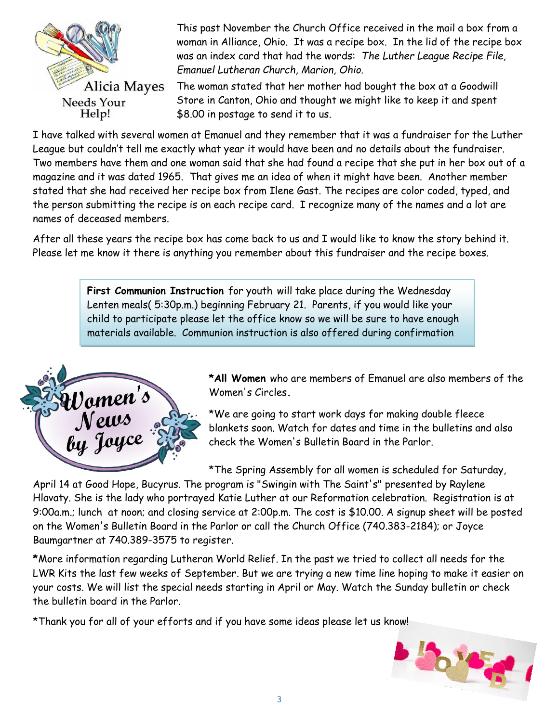

This past November the Church Office received in the mail a box from a woman in Alliance, Ohio. It was a recipe box. In the lid of the recipe box was an index card that had the words: *The Luther League Recipe File, Emanuel Lutheran Church, Marion, Ohio.*

The woman stated that her mother had bought the box at a Goodwill Store in Canton, Ohio and thought we might like to keep it and spent \$8.00 in postage to send it to us.

I have talked with several women at Emanuel and they remember that it was a fundraiser for the Luther League but couldn't tell me exactly what year it would have been and no details about the fundraiser. Two members have them and one woman said that she had found a recipe that she put in her box out of a magazine and it was dated 1965. That gives me an idea of when it might have been. Another member stated that she had received her recipe box from Ilene Gast. The recipes are color coded, typed, and the person submitting the recipe is on each recipe card. I recognize many of the names and a lot are names of deceased members.

After all these years the recipe box has come back to us and I would like to know the story behind it. Please let me know it there is anything you remember about this fundraiser and the recipe boxes.

> **First Communion Instruction** for youth will take place during the Wednesday Lenten meals( 5:30p.m.) beginning February 21. Parents, if you would like your child to participate please let the office know so we will be sure to have enough materials available. Communion instruction is also offered during confirmation



class.

**\*All Women** who are members of Emanuel are also members of the Women's Circles**.**

\*We are going to start work days for making double fleece blankets soon. Watch for dates and time in the bulletins and also check the Women's Bulletin Board in the Parlor.

\*The Spring Assembly for all women is scheduled for Saturday,

April 14 at Good Hope, Bucyrus. The program is "Swingin with The Saint's" presented by Raylene Hlavaty. She is the lady who portrayed Katie Luther at our Reformation celebration. Registration is at 9:00a.m.; lunch at noon; and closing service at 2:00p.m. The cost is \$10.00. A signup sheet will be posted on the Women's Bulletin Board in the Parlor or call the Church Office (740.383-2184); or Joyce Baumgartner at 740.389-3575 to register.

**\***More information regarding Lutheran World Relief. In the past we tried to collect all needs for the LWR Kits the last few weeks of September. But we are trying a new time line hoping to make it easier on your costs. We will list the special needs starting in April or May. Watch the Sunday bulletin or check the bulletin board in the Parlor.

\*Thank you for all of your efforts and if you have some ideas please let us know!

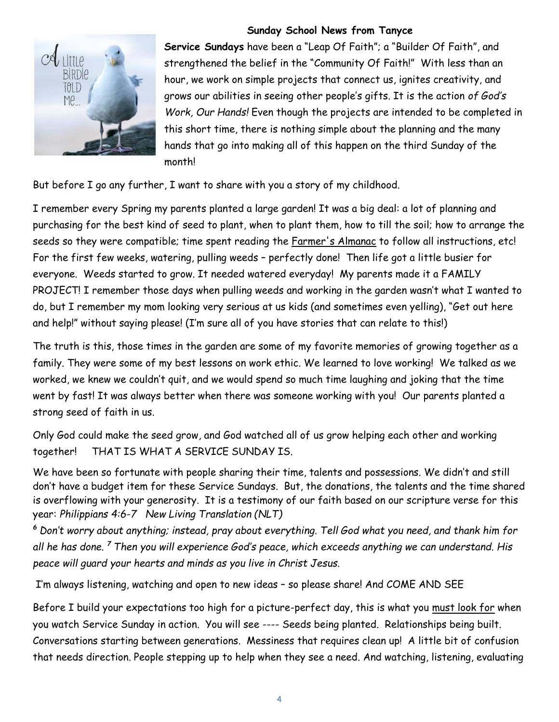

#### **Sunday School News from Tanyce**

**Service Sundays** have been a "Leap Of Faith"; a "Builder Of Faith", and strengthened the belief in the "Community Of Faith!" With less than an hour, we work on simple projects that connect us, ignites creativity, and grows our abilities in seeing other people's gifts. It is the action *of God's Work, Our Hands!* Even though the projects are intended to be completed in this short time, there is nothing simple about the planning and the many hands that go into making all of this happen on the third Sunday of the month!

But before I go any further, I want to share with you a story of my childhood.

I remember every Spring my parents planted a large garden! It was a big deal: a lot of planning and purchasing for the best kind of seed to plant, when to plant them, how to till the soil; how to arrange the seeds so they were compatible; time spent reading the Farmer's Almanac to follow all instructions, etc! For the first few weeks, watering, pulling weeds – perfectly done! Then life got a little busier for everyone. Weeds started to grow. It needed watered everyday! My parents made it a FAMILY PROJECT! I remember those days when pulling weeds and working in the garden wasn't what I wanted to do, but I remember my mom looking very serious at us kids (and sometimes even yelling), "Get out here and help!" without saying please! (I'm sure all of you have stories that can relate to this!)

The truth is this, those times in the garden are some of my favorite memories of growing together as a family. They were some of my best lessons on work ethic. We learned to love working! We talked as we worked, we knew we couldn't quit, and we would spend so much time laughing and joking that the time went by fast! It was always better when there was someone working with you! Our parents planted a strong seed of faith in us.

Only God could make the seed grow, and God watched all of us grow helping each other and working together! THAT IS WHAT A SERVICE SUNDAY IS.

We have been so fortunate with people sharing their time, talents and possessions. We didn't and still don't have a budget item for these Service Sundays. But, the donations, the talents and the time shared is overflowing with your generosity. It is a testimony of our faith based on our scripture verse for this year: *Philippians 4:6-7 New Living Translation (NLT)*

*<sup>6</sup> Don't worry about anything; instead, pray about everything. Tell God what you need, and thank him for all he has done. <sup>7</sup> Then you will experience God's peace, which exceeds anything we can understand. His peace will guard your hearts and minds as you live in Christ Jesus.*

I'm always listening, watching and open to new ideas – so please share! And COME AND SEE

Before I build your expectations too high for a picture-perfect day, this is what you must look for when you watch Service Sunday in action. You will see ---- Seeds being planted. Relationships being built. Conversations starting between generations. Messiness that requires clean up! A little bit of confusion that needs direction. People stepping up to help when they see a need. And watching, listening, evaluating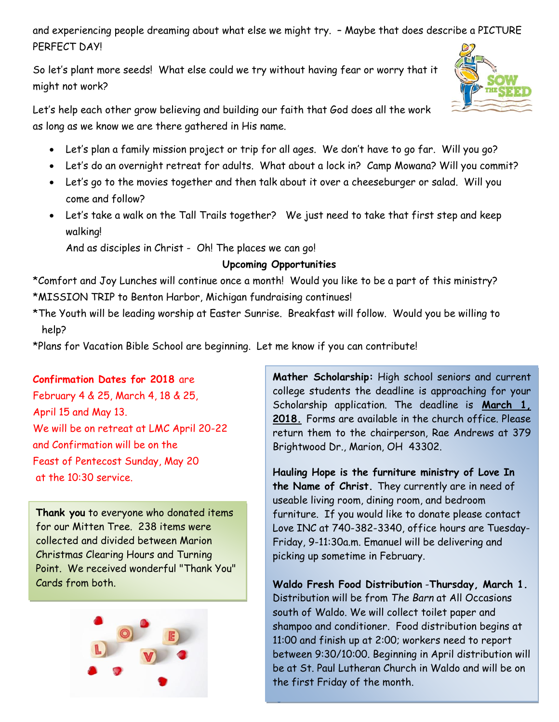and experiencing people dreaming about what else we might try. – Maybe that does describe a PICTURE PERFECT DAY!

So let's plant more seeds! What else could we try without having fear or worry that it might not work?

Let's help each other grow believing and building our faith that God does all the work as long as we know we are there gathered in His name.

- Let's plan a family mission project or trip for all ages. We don't have to go far. Will you go?
- Let's do an overnight retreat for adults. What about a lock in? Camp Mowana? Will you commit?
- Let's go to the movies together and then talk about it over a cheeseburger or salad. Will you come and follow?
- Let's take a walk on the Tall Trails together? We just need to take that first step and keep walking!

And as disciples in Christ - Oh! The places we can go!

### **Upcoming Opportunities**

\*Comfort and Joy Lunches will continue once a month! Would you like to be a part of this ministry? \*MISSION TRIP to Benton Harbor, Michigan fundraising continues!

\*The Youth will be leading worship at Easter Sunrise. Breakfast will follow. Would you be willing to help?

5

\*Plans for Vacation Bible School are beginning. Let me know if you can contribute!

### **Confirmation Dates for 2018** are

February 4 & 25, March 4, 18 & 25, April 15 and May 13. We will be on retreat at LMC April 20-22 and Confirmation will be on the Feast of Pentecost Sunday, May 20 at the 10:30 service.

**Thank you** to everyone who donated items for our Mitten Tree. 238 items were collected and divided between Marion Christmas Clearing Hours and Turning Point. We received wonderful "Thank You" Cards from both.



**Mather Scholarship:** High school seniors and current college students the deadline is approaching for your Scholarship application. The deadline is **March 1, 2018.** Forms are available in the church office. Please return them to the chairperson, Rae Andrews at 379 Brightwood Dr., Marion, OH 43302.

**Hauling Hope is the furniture ministry of Love In the Name of Christ.** They currently are in need of useable living room, dining room, and bedroom furniture. If you would like to donate please contact Love INC at 740-382-3340, office hours are Tuesday-Friday, 9-11:30a.m. Emanuel will be delivering and picking up sometime in February.

**Waldo Fresh Food Distribution** -**Thursday, March 1.** Distribution will be from *The Barn* at All Occasions south of Waldo. We will collect toilet paper and shampoo and conditioner. Food distribution begins at 11:00 and finish up at 2:00; workers need to report between 9:30/10:00. Beginning in April distribution will be at St. Paul Lutheran Church in Waldo and will be on the first Friday of the month.

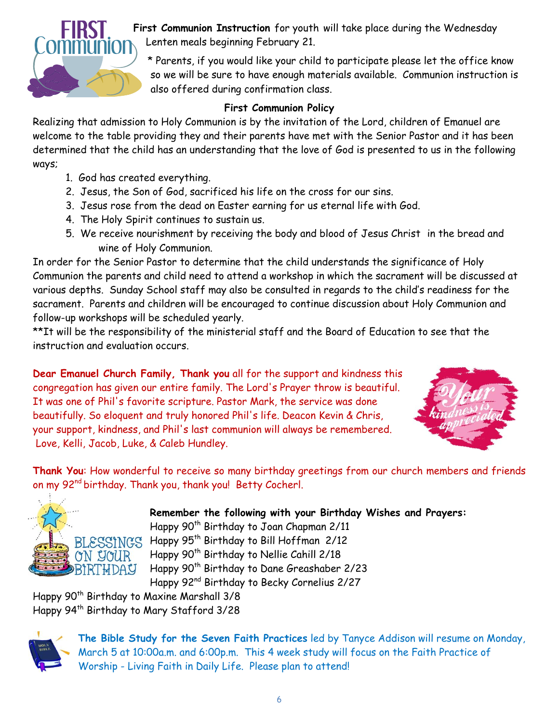

**First Communion Instruction** for youth will take place during the Wednesday Lenten meals beginning February 21.

\* Parents, if you would like your child to participate please let the office know so we will be sure to have enough materials available. Communion instruction is also offered during confirmation class.

## **First Communion Policy**

Realizing that admission to Holy Communion is by the invitation of the Lord, children of Emanuel are welcome to the table providing they and their parents have met with the Senior Pastor and it has been determined that the child has an understanding that the love of God is presented to us in the following ways;

- 1. God has created everything.
- 2. Jesus, the Son of God, sacrificed his life on the cross for our sins.
- 3. Jesus rose from the dead on Easter earning for us eternal life with God.
- 4. The Holy Spirit continues to sustain us.
- 5. We receive nourishment by receiving the body and blood of Jesus Christ in the bread and wine of Holy Communion.

In order for the Senior Pastor to determine that the child understands the significance of Holy Communion the parents and child need to attend a workshop in which the sacrament will be discussed at various depths. Sunday School staff may also be consulted in regards to the child's readiness for the sacrament. Parents and children will be encouraged to continue discussion about Holy Communion and follow-up workshops will be scheduled yearly.

\*\*It will be the responsibility of the ministerial staff and the Board of Education to see that the instruction and evaluation occurs.

**Dear Emanuel Church Family, Thank you** all for the support and kindness this congregation has given our entire family. The Lord's Prayer throw is beautiful. It was one of Phil's favorite scripture. Pastor Mark, the service was done beautifully. So eloquent and truly honored Phil's life. Deacon Kevin & Chris, your support, kindness, and Phil's last communion will always be remembered. Love, Kelli, Jacob, Luke, & Caleb Hundley.



**Thank You**: How wonderful to receive so many birthday greetings from our church members and friends on my 92<sup>nd</sup> birthday. Thank you, thank you! Betty Cocherl.



**Remember the following with your Birthday Wishes and Prayers:** Happy 90<sup>th</sup> Birthday to Joan Chapman 2/11 Happy 95th Birthday to Bill Hoffman 2/12 Happy 90<sup>th</sup> Birthday to Nellie Cahill 2/18 Happy 90<sup>th</sup> Birthday to Dane Greashaber 2/23 Happy 92nd Birthday to Becky Cornelius 2/27

Happy 90<sup>th</sup> Birthday to Maxine Marshall 3/8 Happy 94th Birthday to Mary Stafford 3/28



**The Bible Study for the Seven Faith Practices** led by Tanyce Addison will resume on Monday, March 5 at 10:00a.m. and 6:00p.m. This 4 week study will focus on the Faith Practice of Worship - Living Faith in Daily Life. Please plan to attend!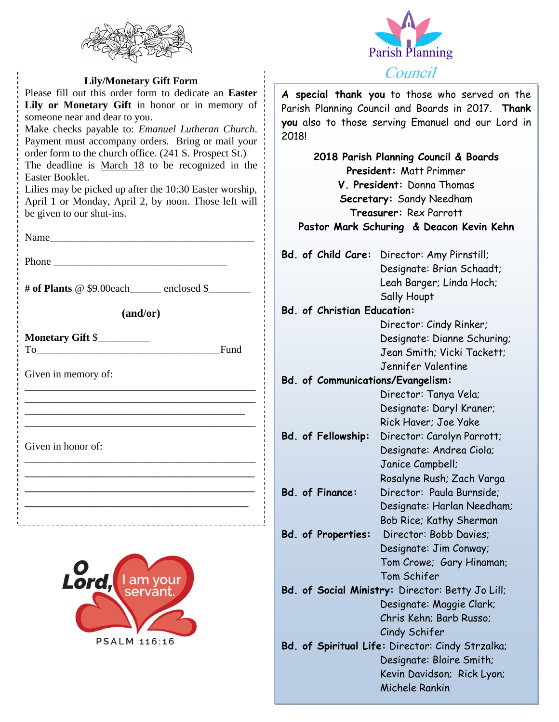



| <b>Lily/Monetary Gift Form</b>                                                                                                                                                                                                                                                |                                          | Council                                                                                                                                                     |
|-------------------------------------------------------------------------------------------------------------------------------------------------------------------------------------------------------------------------------------------------------------------------------|------------------------------------------|-------------------------------------------------------------------------------------------------------------------------------------------------------------|
| Please fill out this order form to dedicate an Easter<br>Lily or Monetary Gift in honor or in memory of<br>someone near and dear to you.<br>Make checks payable to: Emanuel Lutheran Church.<br>Payment must accompany orders. Bring or mail your                             | 2018!                                    | A special thank you to those who served of<br>Parish Planning Council and Boards in 2017.<br>you also to those serving Emanuel and our L                    |
| order form to the church office. (241 S. Prospect St.)<br>The deadline is March 18 to be recognized in the<br>Easter Booklet.<br>Lilies may be picked up after the 10:30 Easter worship,<br>April 1 or Monday, April 2, by noon. Those left will<br>be given to our shut-ins. |                                          | 2018 Parish Planning Council & Boards<br><b>President: Matt Primmer</b><br>V. President: Donna Thomas<br>Secretary: Sandy Needham<br>Treasurer: Rex Parrott |
|                                                                                                                                                                                                                                                                               |                                          | Pastor Mark Schuring & Deacon Kevin Ke                                                                                                                      |
| Phone experience and the set of the set of the set of the set of the set of the set of the set of the set of the set of the set of the set of the set of the set of the set of the set of the set of the set of the set of the                                                |                                          | Bd. of Child Care: Director: Amy Pirnstill;<br>Designate: Brian Schaadt;                                                                                    |
| # of Plants @ \$9.00each______ enclosed \$_______                                                                                                                                                                                                                             |                                          | Leah Barger; Linda Hoch;<br>Sally Houpt                                                                                                                     |
| (and/or)                                                                                                                                                                                                                                                                      | <b>Bd. of Christian Education:</b>       |                                                                                                                                                             |
| <b>Monetary Gift \$___________</b><br>Fund<br>To a series of the series of the series of the series of the series of the series of the series of the series of the series of the series of the series of the series of the series of the series of the series of the series   |                                          | Director: Cindy Rinker;<br>Designate: Dianne Schurin<br>Jean Smith; Vicki Tackett<br>Jennifer Valentine                                                     |
| Given in memory of:                                                                                                                                                                                                                                                           | <b>Bd. of Communications/Evangelism:</b> |                                                                                                                                                             |
|                                                                                                                                                                                                                                                                               |                                          | Director: Tanya Vela;<br>Designate: Daryl Kraner;<br>Rick Haver; Joe Yake                                                                                   |
| Given in honor of:                                                                                                                                                                                                                                                            | Bd. of Fellowship:                       | Director: Carolyn Parrott;<br>Designate: Andrea Ciola;<br>Janice Campbell;<br>Rosalyne Rush; Zach Vargo                                                     |
|                                                                                                                                                                                                                                                                               | <b>Bd. of Finance:</b>                   | Director: Paula Burnside;<br>Designate: Harlan Needha<br>Bob Rice; Kathy Sherman                                                                            |
|                                                                                                                                                                                                                                                                               | <b>Bd. of Properties:</b>                | Director: Bobb Davies;<br>Designate: Jim Conway;<br>Tom Crowe; Gary Hinamar                                                                                 |
|                                                                                                                                                                                                                                                                               |                                          | Tom Schifer                                                                                                                                                 |

servant

PSALM 116:16

- Tom Schifer **Bd. of Social Ministry:** Director: Betty Jo Lill; Designate: Maggie Clark; Chris Kehn; Barb Russo; Cindy Schifer
- **Bd. of Spiritual Life:** Director: Cindy Strzalka; Designate: Blaire Smith; Kevin Davidson; Rick Lyon; Michele Rankin

**A special thank you** to those who served on the Parish Planning Council and Boards in 2017. **Thank**  se serving Emanuel and our Lord in

**Schuring & Deacon Kevin Kehn** 

Rosalyne Rush; Zach Varga **Bd. of Finance:** Director: Paula Burnside; Designate: Harlan Needham; Bob Rice; Kathy Sherman

Designate: Dianne Schuring; Jean Smith; Vicki Tackett;